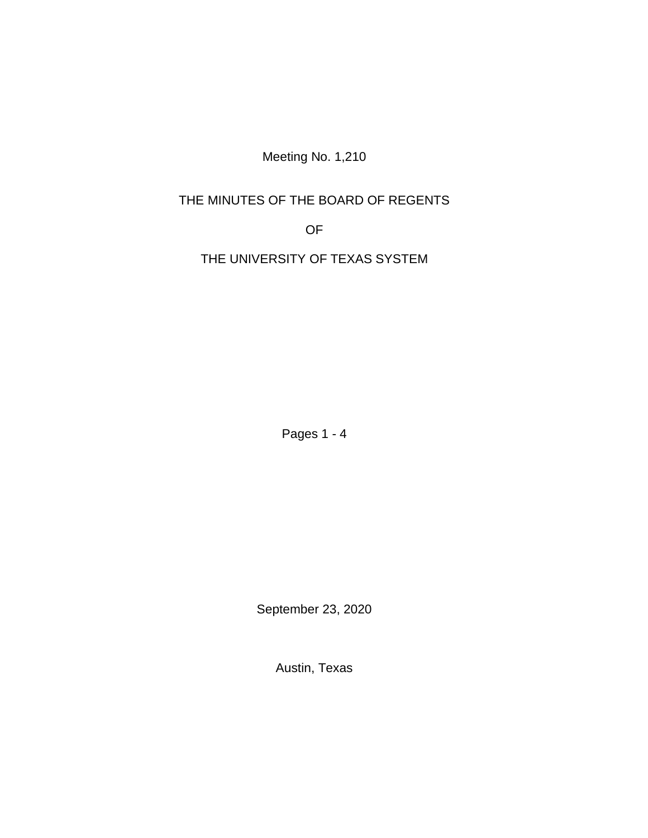Meeting No. 1,210

# THE MINUTES OF THE BOARD OF REGENTS

OF

THE UNIVERSITY OF TEXAS SYSTEM

Pages 1 - 4

September 23, 2020

Austin, Texas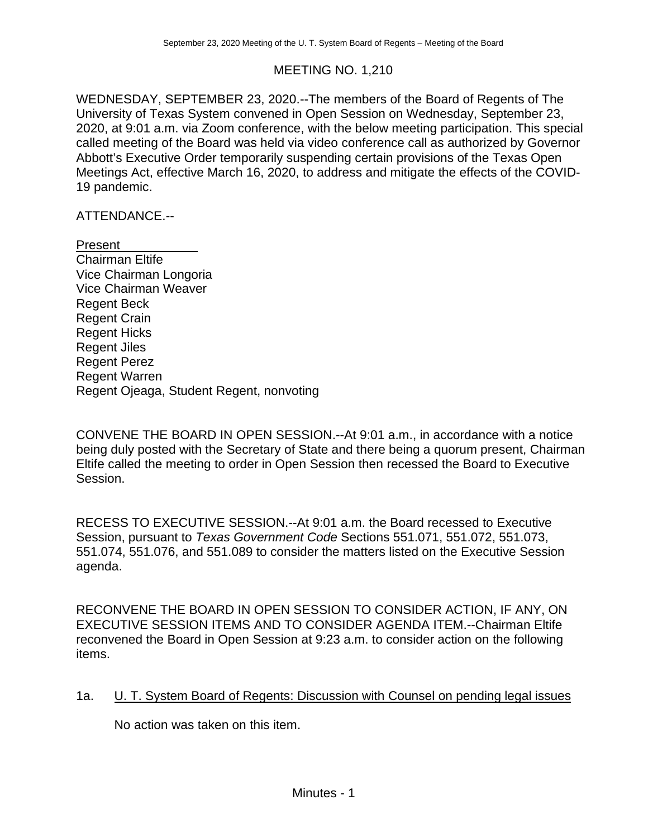## MEETING NO. 1,210

WEDNESDAY, SEPTEMBER 23, 2020.--The members of the Board of Regents of The University of Texas System convened in Open Session on Wednesday, September 23, 2020, at 9:01 a.m. via Zoom conference, with the below meeting participation. This special called meeting of the Board was held via video conference call as authorized by Governor Abbott's Executive Order temporarily suspending certain provisions of the Texas Open Meetings Act, effective March 16, 2020, to address and mitigate the effects of the COVID-19 pandemic.

ATTENDANCE.--

Present Chairman Eltife Vice Chairman Longoria Vice Chairman Weaver Regent Beck Regent Crain Regent Hicks Regent Jiles Regent Perez Regent Warren Regent Ojeaga, Student Regent, nonvoting

CONVENE THE BOARD IN OPEN SESSION.--At 9:01 a.m., in accordance with a notice being duly posted with the Secretary of State and there being a quorum present, Chairman Eltife called the meeting to order in Open Session then recessed the Board to Executive Session.

RECESS TO EXECUTIVE SESSION.--At 9:01 a.m. the Board recessed to Executive Session, pursuant to *Texas Government Code* Sections 551.071, 551.072, 551.073, 551.074, 551.076, and 551.089 to consider the matters listed on the Executive Session agenda.

RECONVENE THE BOARD IN OPEN SESSION TO CONSIDER ACTION, IF ANY, ON EXECUTIVE SESSION ITEMS AND TO CONSIDER AGENDA ITEM.--Chairman Eltife reconvened the Board in Open Session at 9:23 a.m. to consider action on the following items.

1a. U. T. System Board of Regents: Discussion with Counsel on pending legal issues

No action was taken on this item.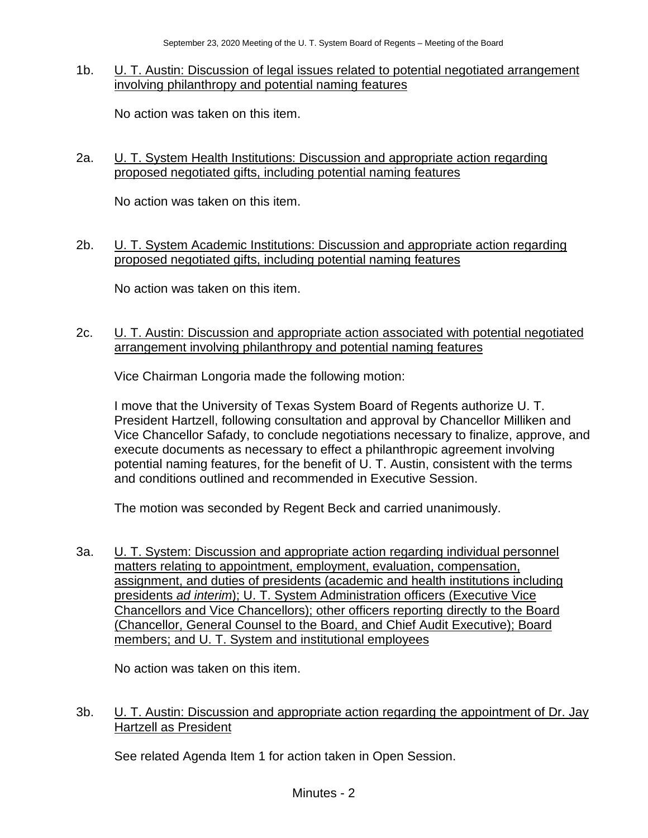#### 1b. U. T. Austin: Discussion of legal issues related to potential negotiated arrangement involving philanthropy and potential naming features

No action was taken on this item.

### 2a. U. T. System Health Institutions: Discussion and appropriate action regarding proposed negotiated gifts, including potential naming features

No action was taken on this item.

#### 2b. U. T. System Academic Institutions: Discussion and appropriate action regarding proposed negotiated gifts, including potential naming features

No action was taken on this item.

### 2c. U. T. Austin: Discussion and appropriate action associated with potential negotiated arrangement involving philanthropy and potential naming features

Vice Chairman Longoria made the following motion:

I move that the University of Texas System Board of Regents authorize U. T. President Hartzell, following consultation and approval by Chancellor Milliken and Vice Chancellor Safady, to conclude negotiations necessary to finalize, approve, and execute documents as necessary to effect a philanthropic agreement involving potential naming features, for the benefit of U. T. Austin, consistent with the terms and conditions outlined and recommended in Executive Session.

The motion was seconded by Regent Beck and carried unanimously.

3a. U. T. System: Discussion and appropriate action regarding individual personnel matters relating to appointment, employment, evaluation, compensation, assignment, and duties of presidents (academic and health institutions including presidents *ad interim*); U. T. System Administration officers (Executive Vice Chancellors and Vice Chancellors); other officers reporting directly to the Board (Chancellor, General Counsel to the Board, and Chief Audit Executive); Board members; and U. T. System and institutional employees

No action was taken on this item.

## 3b. U. T. Austin: Discussion and appropriate action regarding the appointment of Dr. Jay Hartzell as President

See related Agenda Item 1 for action taken in Open Session.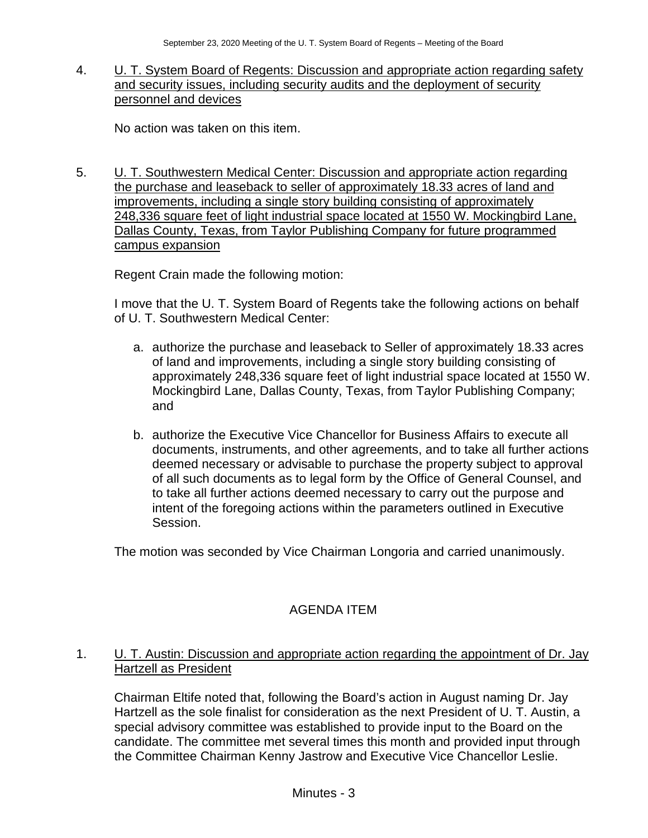### 4. U. T. System Board of Regents: Discussion and appropriate action regarding safety and security issues, including security audits and the deployment of security personnel and devices

No action was taken on this item.

5. U. T. Southwestern Medical Center: Discussion and appropriate action regarding the purchase and leaseback to seller of approximately 18.33 acres of land and improvements, including a single story building consisting of approximately 248,336 square feet of light industrial space located at 1550 W. Mockingbird Lane, Dallas County, Texas, from Taylor Publishing Company for future programmed campus expansion

Regent Crain made the following motion:

I move that the U. T. System Board of Regents take the following actions on behalf of U. T. Southwestern Medical Center:

- a. authorize the purchase and leaseback to Seller of approximately 18.33 acres of land and improvements, including a single story building consisting of approximately 248,336 square feet of light industrial space located at 1550 W. Mockingbird Lane, Dallas County, Texas, from Taylor Publishing Company; and
- b. authorize the Executive Vice Chancellor for Business Affairs to execute all documents, instruments, and other agreements, and to take all further actions deemed necessary or advisable to purchase the property subject to approval of all such documents as to legal form by the Office of General Counsel, and to take all further actions deemed necessary to carry out the purpose and intent of the foregoing actions within the parameters outlined in Executive Session.

The motion was seconded by Vice Chairman Longoria and carried unanimously.

# AGENDA ITEM

## 1. U. T. Austin: Discussion and appropriate action regarding the appointment of Dr. Jay Hartzell as President

Chairman Eltife noted that, following the Board's action in August naming Dr. Jay Hartzell as the sole finalist for consideration as the next President of U. T. Austin, a special advisory committee was established to provide input to the Board on the candidate. The committee met several times this month and provided input through the Committee Chairman Kenny Jastrow and Executive Vice Chancellor Leslie.